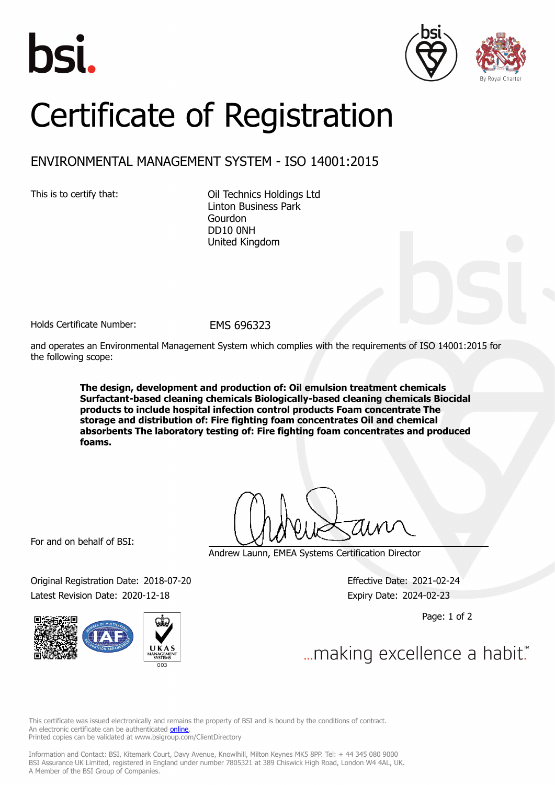





## Certificate of Registration

## ENVIRONMENTAL MANAGEMENT SYSTEM - ISO 14001:2015

This is to certify that: Oil Technics Holdings Ltd Linton Business Park Gourdon DD10 0NH United Kingdom

Holds Certificate Number: EMS 696323

and operates an Environmental Management System which complies with the requirements of ISO 14001:2015 for the following scope:

> **The design, development and production of: Oil emulsion treatment chemicals Surfactant-based cleaning chemicals Biologically-based cleaning chemicals Biocidal products to include hospital infection control products Foam concentrate The storage and distribution of: Fire fighting foam concentrates Oil and chemical absorbents The laboratory testing of: Fire fighting foam concentrates and produced foams.**

For and on behalf of BSI:

Original Registration Date: 2018-07-20 Effective Date: 2021-02-24 Latest Revision Date: 2020-12-18 Expiry Date: 2024-02-23



Andrew Launn, EMEA Systems Certification Director

Page: 1 of 2

... making excellence a habit."

This certificate was issued electronically and remains the property of BSI and is bound by the conditions of contract. An electronic certificate can be authenticated **[online](https://pgplus.bsigroup.com/CertificateValidation/CertificateValidator.aspx?CertificateNumber=EMS+696323&ReIssueDate=18%2f12%2f2020&Template=uk)**. Printed copies can be validated at www.bsigroup.com/ClientDirectory

Information and Contact: BSI, Kitemark Court, Davy Avenue, Knowlhill, Milton Keynes MK5 8PP. Tel: + 44 345 080 9000 BSI Assurance UK Limited, registered in England under number 7805321 at 389 Chiswick High Road, London W4 4AL, UK. A Member of the BSI Group of Companies.